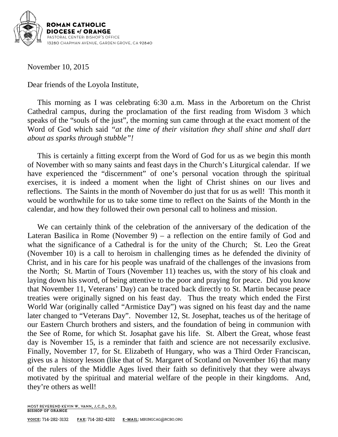

November 10, 2015

Dear friends of the Loyola Institute,

This morning as I was celebrating 6:30 a.m. Mass in the Arboretum on the Christ Cathedral campus, during the proclamation of the first reading from Wisdom 3 which speaks of the "souls of the just", the morning sun came through at the exact moment of the Word of God which said *"at the time of their visitation they shall shine and shall dart about as sparks through stubble"!*

This is certainly a fitting excerpt from the Word of God for us as we begin this month of November with so many saints and feast days in the Church's Liturgical calendar. If we have experienced the "discernment" of one's personal vocation through the spiritual exercises, it is indeed a moment when the light of Christ shines on our lives and reflections. The Saints in the month of November do just that for us as well! This month it would be worthwhile for us to take some time to reflect on the Saints of the Month in the calendar, and how they followed their own personal call to holiness and mission.

We can certainly think of the celebration of the anniversary of the dedication of the Lateran Basilica in Rome (November 9) – a reflection on the entire family of God and what the significance of a Cathedral is for the unity of the Church; St. Leo the Great (November 10) is a call to heroism in challenging times as he defended the divinity of Christ, and in his care for his people was unafraid of the challenges of the invasions from the North; St. Martin of Tours (November 11) teaches us, with the story of his cloak and laying down his sword, of being attentive to the poor and praying for peace. Did you know that November 11, Veterans' Day) can be traced back directly to St. Martin because peace treaties were originally signed on his feast day. Thus the treaty which ended the First World War (originally called "Armistice Day") was signed on his feast day and the name later changed to "Veterans Day". November 12, St. Josephat, teaches us of the heritage of our Eastern Church brothers and sisters, and the foundation of being in communion with the See of Rome, for which St. Josaphat gave his life. St. Albert the Great, whose feast day is November 15, is a reminder that faith and science are not necessarily exclusive. Finally, November 17, for St. Elizabeth of Hungary, who was a Third Order Franciscan, gives us a history lesson (like that of St. Margaret of Scotland on November 16) that many of the rulers of the Middle Ages lived their faith so definitively that they were always motivated by the spiritual and material welfare of the people in their kingdoms. And, they're others as well!